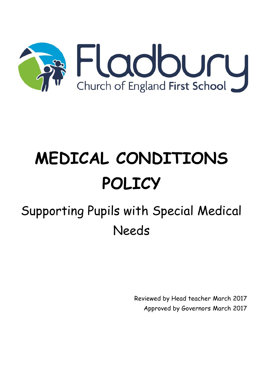

# **MEDICAL CONDITIONS POLICY**

# Supporting Pupils with Special Medical Needs

Reviewed by Head teacher March 2017 Approved by Governors March 2017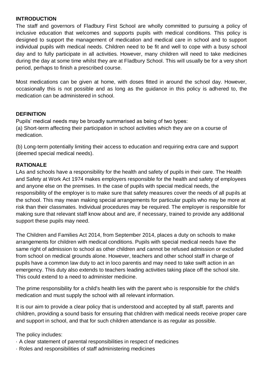#### **INTRODUCTION**

The staff and governors of Fladbury First School are wholly committed to pursuing a policy of inclusive education that welcomes and supports pupils with medical conditions. This policy is designed to support the management of medication and medical care in school and to support individual pupils with medical needs. Children need to be fit and well to cope with a busy school day and to fully participate in all activities. However, many children will need to take medicines during the day at some time whilst they are at Fladbury School. This will usually be for a very short period, perhaps to finish a prescribed course.

Most medications can be given at home, with doses fitted in around the school day. However, occasionally this is not possible and as long as the guidance in this policy is adhered to, the medication can be administered in school.

#### **DEFINITION**

Pupils' medical needs may be broadly summarised as being of two types: (a) Short-term affecting their participation in school activities which they are on a course of medication.

(b) Long-term potentially limiting their access to education and requiring extra care and support (deemed special medical needs).

#### **RATIONALE**

LAs and schools have a responsibility for the health and safety of pupils in their care. The Health and Safety at Work Act 1974 makes employers responsible for the health and safety of employees and anyone else on the premises. In the case of pupils with special medical needs, the responsibility of the employer is to make sure that safety measures cover the needs of all pupils at the school. This may mean making special arrangements for particular pupils who may be more at risk than their classmates. Individual procedures may be required. The employer is responsible for making sure that relevant staff know about and are, if necessary, trained to provide any additional support these pupils may need.

The Children and Families Act 2014, from September 2014, places a duty on schools to make arrangements for children with medical conditions. Pupils with special medical needs have the same right of admission to school as other children and cannot be refused admission or excluded from school on medical grounds alone. However, teachers and other school staff in charge of pupils have a common law duty to act in loco parentis and may need to take swift action in an emergency. This duty also extends to teachers leading activities taking place off the school site. This could extend to a need to administer medicine.

The prime responsibility for a child's health lies with the parent who is responsible for the child's medication and must supply the school with all relevant information.

It is our aim to provide a clear policy that is understood and accepted by all staff, parents and children, providing a sound basis for ensuring that children with medical needs receive proper care and support in school, and that for such children attendance is as regular as possible.

The policy includes:

- · A clear statement of parental responsibilities in respect of medicines
- · Roles and responsibilities of staff administering medicines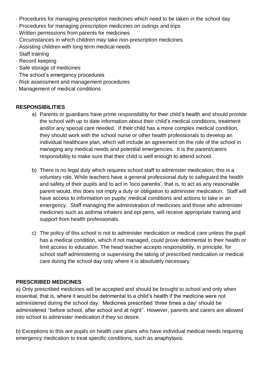- · Procedures for managing prescription medicines which need to be taken in the school day
- · Procedures for managing prescription medicines on outings and trips
- · Written permissions from parents for medicines
- · Circumstances in which children may take non-prescription medicines
- · Assisting children with long term medical needs
- · Staff training
- · Record keeping
- · Safe storage of medicines
- · The school's emergency procedures
- · Risk assessment and management procedures
- . Management of medical conditions

# **RESPONSIBILITIES**

- a) Parents or guardians have prime responsibility for their child's health and should provide the school with up to date information about their child's medical conditions, treatment and/or any special care needed. If their child has a more complex medical condition, they should work with the school nurse or other health professionals to develop an individual healthcare plan, which will include an agreement on the role of the school in managing any medical needs and potential emergencies. It is the parent/carers responsibility to make sure that their child is well enough to attend school.
- b) There is no legal duty which requires school staff to administer medication; this is a voluntary role. While teachers have a general professional duty to safeguard the health and safety of their pupils and to act in 'loco parentis', that is, to act as any reasonable parent would, this does not imply a duty or obligation to administer medication. Staff will have access to information on pupils' medical conditions and actions to take in an emergency. Staff managing the administration of medicines and those who administer medicines such as asthma inhalers and epi pens, will receive appropriate training and support from health professionals.
- c) The policy of this school is not to administer medication or medical care unless the pupil has a medical condition, which if not managed, could prove detrimental to their health or limit access to education. The head teacher accepts responsibility, in principle, for school staff administering or supervising the taking of prescribed medication or medical care during the school day only where it is absolutely necessary.

#### **PRESCRIBED MEDICINES**

a) Only prescribed medicines will be accepted and should be brought to school and only when essential; that is, where it would be detrimental to a child's health if the medicine were not administered during the school day. Medicines prescribed 'three times a day' should be administered ''before school, after school and at night''. However, parents and carers are allowed into school to administer medication if they so desire.

b) Exceptions to this are pupils on health care plans who have individual medical needs requiring emergency medication to treat specific conditions, such as anaphylaxis.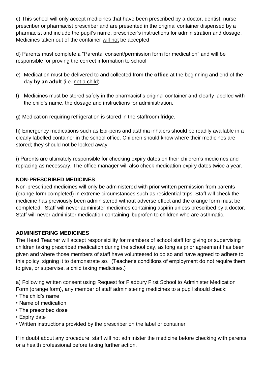c) This school will only accept medicines that have been prescribed by a doctor, dentist, nurse prescriber or pharmacist prescriber and are presented in the original container dispensed by a pharmacist and include the pupil's name, prescriber's instructions for administration and dosage. Medicines taken out of the container will not be accepted

d) Parents must complete a "Parental consent/permission form for medication" and will be responsible for proving the correct information to school

- e) Medication must be delivered to and collected from **the office** at the beginning and end of the day **by an adult** (i.e. not a child)
- f) Medicines must be stored safely in the pharmacist's original container and clearly labelled with the child's name, the dosage and instructions for administration.
- g) Medication requiring refrigeration is stored in the staffroom fridge.

h) Emergency medications such as Epi-pens and asthma inhalers should be readily available in a clearly labelled container in the school office. Children should know where their medicines are stored; they should not be locked away.

i) Parents are ultimately responsible for checking expiry dates on their children's medicines and replacing as necessary. The office manager will also check medication expiry dates twice a year.

#### **NON-PRESCRIBED MEDICINES**

Non-prescribed medicines will only be administered with prior written permission from parents (orange form completed) in extreme circumstances such as residential trips. Staff will check the medicine has previously been administered without adverse effect and the orange form must be completed. Staff will never administer medicines containing aspirin unless prescribed by a doctor. Staff will never administer medication containing ibuprofen to children who are asthmatic.

# **ADMINISTERING MEDICINES**

The Head Teacher will accept responsibility for members of school staff for giving or supervising children taking prescribed medication during the school day, as long as prior agreement has been given and where those members of staff have volunteered to do so and have agreed to adhere to this policy, signing it to demonstrate so. (Teacher's conditions of employment do not require them to give, or supervise, a child taking medicines.)

a) Following written consent using Request for Fladbury First School to Administer Medication Form (orange form), any member of staff administering medicines to a pupil should check:

- The child's name
- Name of medication
- The prescribed dose
- Expiry date
- Written instructions provided by the prescriber on the label or container

If in doubt about any procedure, staff will not administer the medicine before checking with parents or a health professional before taking further action.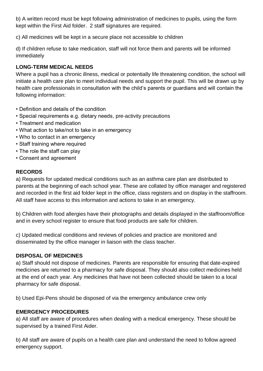b) A written record must be kept following administration of medicines to pupils, using the form kept within the First Aid folder. 2 staff signatures are required.

c) All medicines will be kept in a secure place not accessible to children

d) If children refuse to take medication, staff will not force them and parents will be informed immediately

# **LONG-TERM MEDICAL NEEDS**

Where a pupil has a chronic illness, medical or potentially life threatening condition, the school will initiate a health care plan to meet individual needs and support the pupil. This will be drawn up by health care professionals in consultation with the child's parents or guardians and will contain the following information:

- Definition and details of the condition
- Special requirements e.g. dietary needs, pre-activity precautions
- Treatment and medication
- What action to take/not to take in an emergency
- Who to contact in an emergency
- Staff training where required
- The role the staff can play
- Consent and agreement

# **RECORDS**

a) Requests for updated medical conditions such as an asthma care plan are distributed to parents at the beginning of each school year. These are collated by office manager and registered and recorded in the first aid folder kept in the office, class registers and on display in the staffroom. All staff have access to this information and actions to take in an emergency.

b) Children with food allergies have their photographs and details displayed in the staffroom/office and in every school register to ensure that food products are safe for children.

c) Updated medical conditions and reviews of policies and practice are monitored and disseminated by the office manager in liaison with the class teacher.

# **DISPOSAL OF MEDICINES**

a) Staff should not dispose of medicines. Parents are responsible for ensuring that date-expired medicines are returned to a pharmacy for safe disposal. They should also collect medicines held at the end of each year. Any medicines that have not been collected should be taken to a local pharmacy for safe disposal.

b) Used Epi-Pens should be disposed of via the emergency ambulance crew only

# **EMERGENCY PROCEDURES**

a) All staff are aware of procedures when dealing with a medical emergency. These should be supervised by a trained First Aider.

b) All staff are aware of pupils on a health care plan and understand the need to follow agreed emergency support.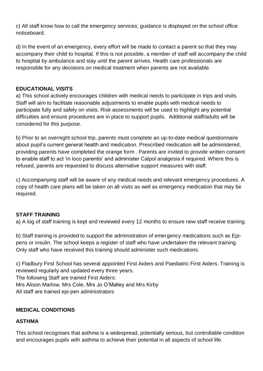c) All staff know how to call the emergency services; guidance is displayed on the school office noticeboard.

d) In the event of an emergency, every effort will be made to contact a parent so that they may accompany their child to hospital. If this is not possible, a member of staff will accompany the child to hospital by ambulance and stay until the parent arrives. Health care professionals are responsible for any decisions on medical treatment when parents are not available.

#### **EDUCATIONAL VISITS**

a) This school actively encourages children with medical needs to participate in trips and visits. Staff will aim to facilitate reasonable adjustments to enable pupils with medical needs to participate fully and safely on visits. Risk assessments will be used to highlight any potential difficulties and ensure procedures are in place to support pupils. Additional staff/adults will be considered for this purpose.

b) Prior to an overnight school trip, parents must complete an up-to-date medical questionnaire about pupil's current general health and medication. Prescribed medication will be administered, providing parents have completed the orange form . Parents are invited to provide written consent to enable staff to act 'in loco parentis' and administer Calpol analgesia if required. Where this is refused, parents are requested to discuss alternative support measures with staff.

c) Accompanying staff will be aware of any medical needs and relevant emergency procedures. A copy of health care plans will be taken on all visits as well as emergency medication that may be required.

# **STAFF TRAINING**

a) A log of staff training is kept and reviewed every 12 months to ensure new staff receive training.

b) Staff training is provided to support the administration of emergency medications such as Epipens or insulin. The school keeps a register of staff who have undertaken the relevant training. Only staff who have received this training should administer such medications.

c) Fladbury First School has several appointed First Aiders and Paediatric First Aiders. Training is reviewed regularly and updated every three years. The following Staff are trained First Aiders: Mrs Alison Marlow, Mrs Cole, Mrs Jo O'Malley and Mrs Kirby All staff are trained epi-pen administrators

# **MEDICAL CONDITIONS**

#### **ASTHMA**

This school recognises that asthma is a widespread, potentially serious, but controllable condition and encourages pupils with asthma to achieve their potential in all aspects of school life.